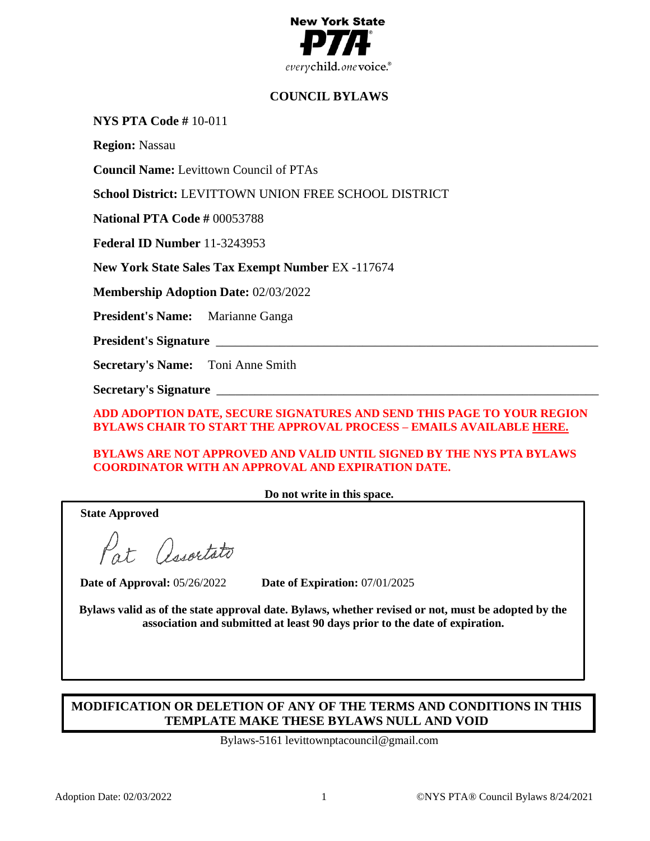

# **COUNCIL BYLAWS**

**NYS PTA Code #** 10-011

**Region:** Nassau

**Council Name:** Levittown Council of PTAs

**School District:** LEVITTOWN UNION FREE SCHOOL DISTRICT

**National PTA Code #** 00053788

**Federal ID Number** 11-3243953

**New York State Sales Tax Exempt Number** EX -117674

**Membership Adoption Date:** 02/03/2022

**President's Name:** Marianne Ganga

President's Signature

**Secretary's Name:** Toni Anne Smith

**Secretary's Signature** \_\_\_\_\_\_\_\_\_\_\_\_\_\_\_\_\_\_\_\_\_\_\_\_\_\_\_\_\_\_\_\_\_\_\_\_\_\_\_\_\_\_\_\_\_\_\_\_\_\_\_\_\_\_\_\_\_\_\_\_

**ADD ADOPTION DATE, SECURE SIGNATURES AND SEND THIS PAGE TO YOUR REGION BYLAWS CHAIR TO START THE APPROVAL PROCESS – EMAILS AVAILABLE [HERE.](https://nyspta.org/home/pta-leaders/awards-and-recognitions/2020-celebration-of-the-arts/bylawsprocedures/#RBC)**

**BYLAWS ARE NOT APPROVED AND VALID UNTIL SIGNED BY THE NYS PTA BYLAWS COORDINATOR WITH AN APPROVAL AND EXPIRATION DATE.**

**Do not write in this space.**

**State Approved**

Pat Associato

**Date of Approval:** 05/26/2022 **Date of Expiration:** 07/01/2025

**Bylaws valid as of the state approval date. Bylaws, whether revised or not, must be adopted by the association and submitted at least 90 days prior to the date of expiration.**

# **MODIFICATION OR DELETION OF ANY OF THE TERMS AND CONDITIONS IN THIS TEMPLATE MAKE THESE BYLAWS NULL AND VOID**

Bylaws-5161 levittownptacouncil@gmail.com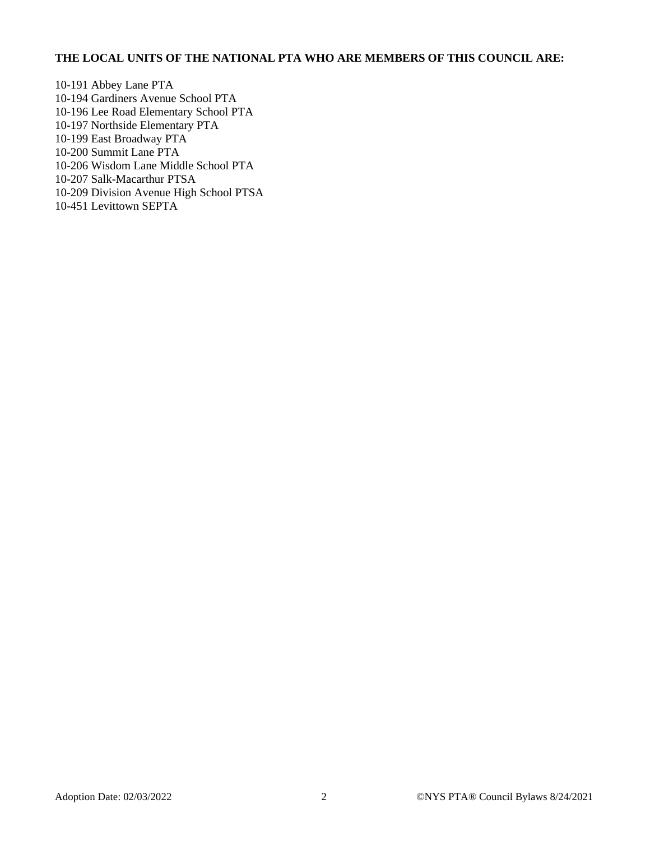# **THE LOCAL UNITS OF THE NATIONAL PTA WHO ARE MEMBERS OF THIS COUNCIL ARE:**

10-191 Abbey Lane PTA 10-194 Gardiners Avenue School PTA 10-196 Lee Road Elementary School PTA 10-197 Northside Elementary PTA 10-199 East Broadway PTA 10-200 Summit Lane PTA 10-206 Wisdom Lane Middle School PTA 10-207 Salk-Macarthur PTSA 10-209 Division Avenue High School PTSA 10-451 Levittown SEPTA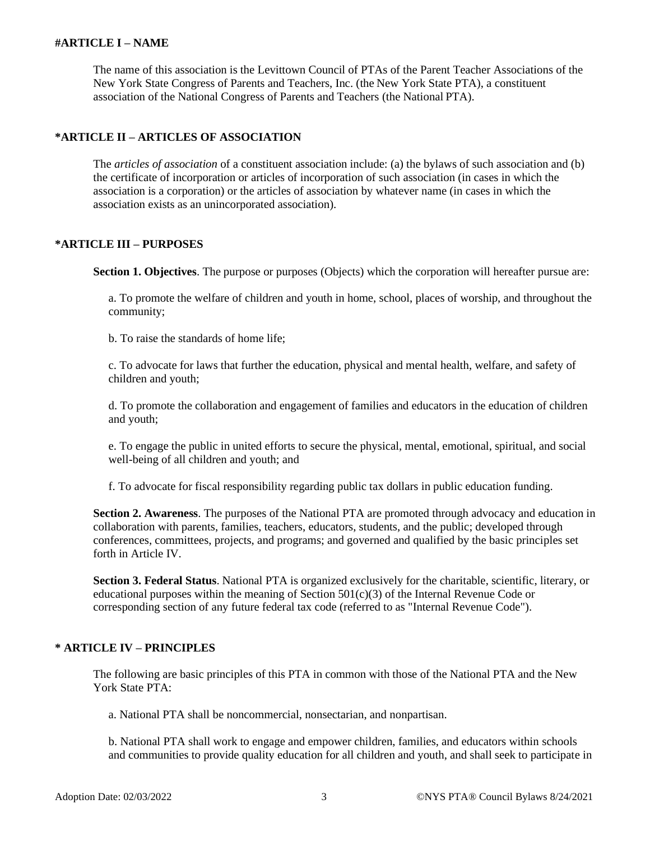#### **#ARTICLE I – NAME**

The name of this association is the Levittown Council of PTAs of the Parent Teacher Associations of the New York State Congress of Parents and Teachers, Inc. (the New York State PTA), a constituent association of the National Congress of Parents and Teachers (the National PTA).

# **\*ARTICLE II – ARTICLES OF ASSOCIATION**

The *articles of association* of a constituent association include: (a) the bylaws of such association and (b) the certificate of incorporation or articles of incorporation of such association (in cases in which the association is a corporation) or the articles of association by whatever name (in cases in which the association exists as an unincorporated association).

#### **\*ARTICLE III – PURPOSES**

**Section 1. Objectives**. The purpose or purposes (Objects) which the corporation will hereafter pursue are:

a. To promote the welfare of children and youth in home, school, places of worship, and throughout the community;

b. To raise the standards of home life;

c. To advocate for laws that further the education, physical and mental health, welfare, and safety of children and youth;

d. To promote the collaboration and engagement of families and educators in the education of children and youth;

e. To engage the public in united efforts to secure the physical, mental, emotional, spiritual, and social well-being of all children and youth; and

f. To advocate for fiscal responsibility regarding public tax dollars in public education funding.

**Section 2. Awareness**. The purposes of the National PTA are promoted through advocacy and education in collaboration with parents, families, teachers, educators, students, and the public; developed through conferences, committees, projects, and programs; and governed and qualified by the basic principles set forth in Article IV.

**Section 3. Federal Status**. National PTA is organized exclusively for the charitable, scientific, literary, or educational purposes within the meaning of Section  $501(c)(3)$  of the Internal Revenue Code or corresponding section of any future federal tax code (referred to as "Internal Revenue Code").

### **\* ARTICLE IV – PRINCIPLES**

The following are basic principles of this PTA in common with those of the National PTA and the New York State PTA:

a. National PTA shall be noncommercial, nonsectarian, and nonpartisan.

b. National PTA shall work to engage and empower children, families, and educators within schools and communities to provide quality education for all children and youth, and shall seek to participate in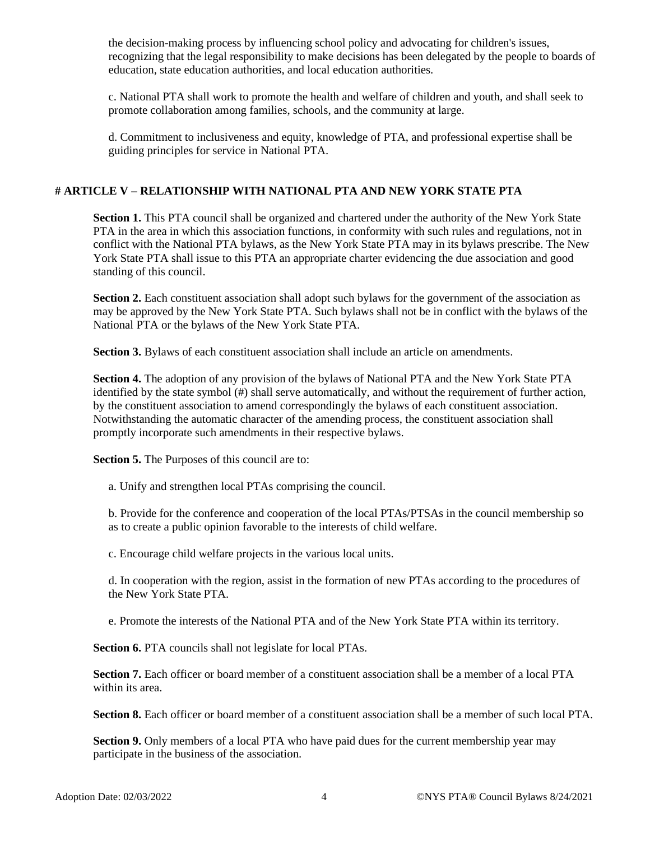the decision-making process by influencing school policy and advocating for children's issues, recognizing that the legal responsibility to make decisions has been delegated by the people to boards of education, state education authorities, and local education authorities.

c. National PTA shall work to promote the health and welfare of children and youth, and shall seek to promote collaboration among families, schools, and the community at large.

d. Commitment to inclusiveness and equity, knowledge of PTA, and professional expertise shall be guiding principles for service in National PTA.

## **# ARTICLE V – RELATIONSHIP WITH NATIONAL PTA AND NEW YORK STATE PTA**

**Section 1.** This PTA council shall be organized and chartered under the authority of the New York State PTA in the area in which this association functions, in conformity with such rules and regulations, not in conflict with the National PTA bylaws, as the New York State PTA may in its bylaws prescribe. The New York State PTA shall issue to this PTA an appropriate charter evidencing the due association and good standing of this council.

**Section 2.** Each constituent association shall adopt such bylaws for the government of the association as may be approved by the New York State PTA. Such bylaws shall not be in conflict with the bylaws of the National PTA or the bylaws of the New York State PTA.

**Section 3.** Bylaws of each constituent association shall include an article on amendments.

**Section 4.** The adoption of any provision of the bylaws of National PTA and the New York State PTA identified by the state symbol (#) shall serve automatically, and without the requirement of further action, by the constituent association to amend correspondingly the bylaws of each constituent association. Notwithstanding the automatic character of the amending process, the constituent association shall promptly incorporate such amendments in their respective bylaws.

**Section 5.** The Purposes of this council are to:

a. Unify and strengthen local PTAs comprising the council.

b. Provide for the conference and cooperation of the local PTAs/PTSAs in the council membership so as to create a public opinion favorable to the interests of child welfare.

c. Encourage child welfare projects in the various local units.

d. In cooperation with the region, assist in the formation of new PTAs according to the procedures of the New York State PTA.

e. Promote the interests of the National PTA and of the New York State PTA within its territory.

**Section 6.** PTA councils shall not legislate for local PTAs.

**Section 7.** Each officer or board member of a constituent association shall be a member of a local PTA within its area.

**Section 8.** Each officer or board member of a constituent association shall be a member of such local PTA.

**Section 9.** Only members of a local PTA who have paid dues for the current membership year may participate in the business of the association.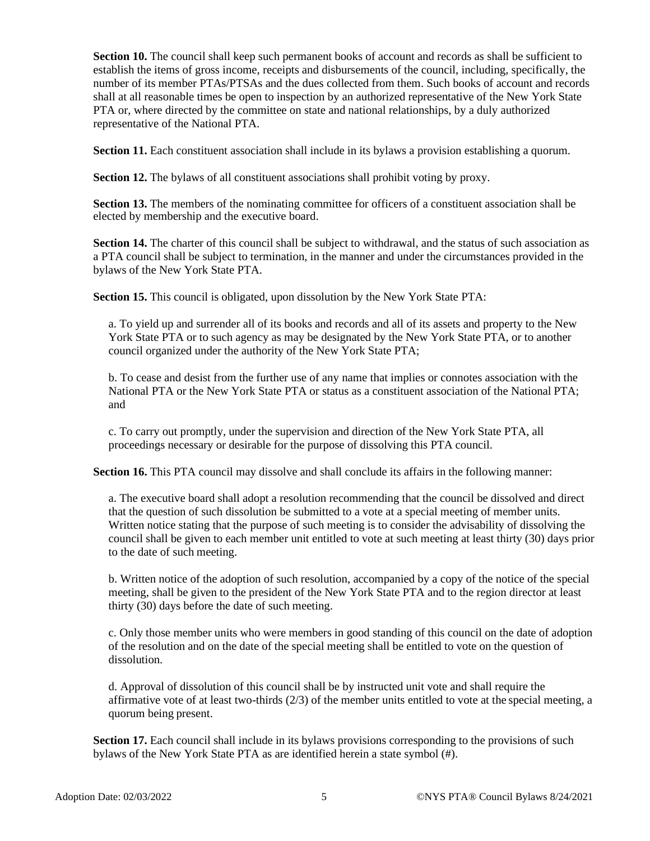**Section 10.** The council shall keep such permanent books of account and records as shall be sufficient to establish the items of gross income, receipts and disbursements of the council, including, specifically, the number of its member PTAs/PTSAs and the dues collected from them. Such books of account and records shall at all reasonable times be open to inspection by an authorized representative of the New York State PTA or, where directed by the committee on state and national relationships, by a duly authorized representative of the National PTA.

**Section 11.** Each constituent association shall include in its bylaws a provision establishing a quorum.

**Section 12.** The bylaws of all constituent associations shall prohibit voting by proxy.

**Section 13.** The members of the nominating committee for officers of a constituent association shall be elected by membership and the executive board.

**Section 14.** The charter of this council shall be subject to withdrawal, and the status of such association as a PTA council shall be subject to termination, in the manner and under the circumstances provided in the bylaws of the New York State PTA.

**Section 15.** This council is obligated, upon dissolution by the New York State PTA:

a. To yield up and surrender all of its books and records and all of its assets and property to the New York State PTA or to such agency as may be designated by the New York State PTA, or to another council organized under the authority of the New York State PTA;

b. To cease and desist from the further use of any name that implies or connotes association with the National PTA or the New York State PTA or status as a constituent association of the National PTA; and

c. To carry out promptly, under the supervision and direction of the New York State PTA, all proceedings necessary or desirable for the purpose of dissolving this PTA council.

**Section 16.** This PTA council may dissolve and shall conclude its affairs in the following manner:

a. The executive board shall adopt a resolution recommending that the council be dissolved and direct that the question of such dissolution be submitted to a vote at a special meeting of member units. Written notice stating that the purpose of such meeting is to consider the advisability of dissolving the council shall be given to each member unit entitled to vote at such meeting at least thirty (30) days prior to the date of such meeting.

b. Written notice of the adoption of such resolution, accompanied by a copy of the notice of the special meeting, shall be given to the president of the New York State PTA and to the region director at least thirty (30) days before the date of such meeting.

c. Only those member units who were members in good standing of this council on the date of adoption of the resolution and on the date of the special meeting shall be entitled to vote on the question of dissolution.

d. Approval of dissolution of this council shall be by instructed unit vote and shall require the affirmative vote of at least two-thirds (2/3) of the member units entitled to vote at the special meeting, a quorum being present.

**Section 17.** Each council shall include in its bylaws provisions corresponding to the provisions of such bylaws of the New York State PTA as are identified herein a state symbol (#).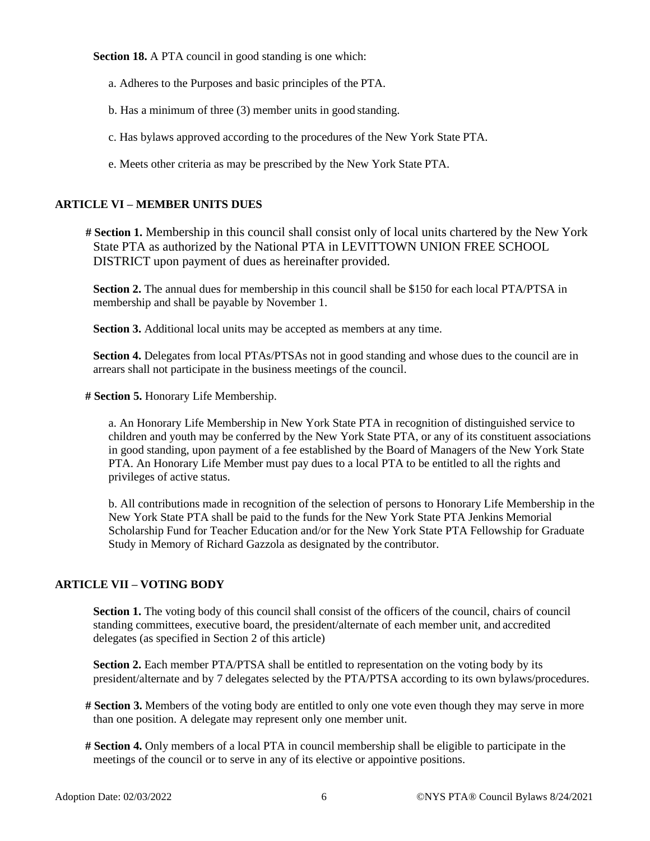**Section 18.** A PTA council in good standing is one which:

- a. Adheres to the Purposes and basic principles of the PTA.
- b. Has a minimum of three (3) member units in good standing.
- c. Has bylaws approved according to the procedures of the New York State PTA.
- e. Meets other criteria as may be prescribed by the New York State PTA.

### **ARTICLE VI – MEMBER UNITS DUES**

**# Section 1.** Membership in this council shall consist only of local units chartered by the New York State PTA as authorized by the National PTA in LEVITTOWN UNION FREE SCHOOL DISTRICT upon payment of dues as hereinafter provided.

**Section 2.** The annual dues for membership in this council shall be \$150 for each local PTA/PTSA in membership and shall be payable by November 1.

**Section 3.** Additional local units may be accepted as members at any time.

**Section 4.** Delegates from local PTAs/PTSAs not in good standing and whose dues to the council are in arrears shall not participate in the business meetings of the council.

**# Section 5.** Honorary Life Membership.

a. An Honorary Life Membership in New York State PTA in recognition of distinguished service to children and youth may be conferred by the New York State PTA, or any of its constituent associations in good standing, upon payment of a fee established by the Board of Managers of the New York State PTA. An Honorary Life Member must pay dues to a local PTA to be entitled to all the rights and privileges of active status.

b. All contributions made in recognition of the selection of persons to Honorary Life Membership in the New York State PTA shall be paid to the funds for the New York State PTA Jenkins Memorial Scholarship Fund for Teacher Education and/or for the New York State PTA Fellowship for Graduate Study in Memory of Richard Gazzola as designated by the contributor.

### **ARTICLE VII – VOTING BODY**

**Section 1.** The voting body of this council shall consist of the officers of the council, chairs of council standing committees, executive board, the president/alternate of each member unit, and accredited delegates (as specified in Section 2 of this article)

**Section 2.** Each member PTA/PTSA shall be entitled to representation on the voting body by its president/alternate and by 7 delegates selected by the PTA/PTSA according to its own bylaws/procedures.

- **# Section 3.** Members of the voting body are entitled to only one vote even though they may serve in more than one position. A delegate may represent only one member unit.
- **# Section 4.** Only members of a local PTA in council membership shall be eligible to participate in the meetings of the council or to serve in any of its elective or appointive positions.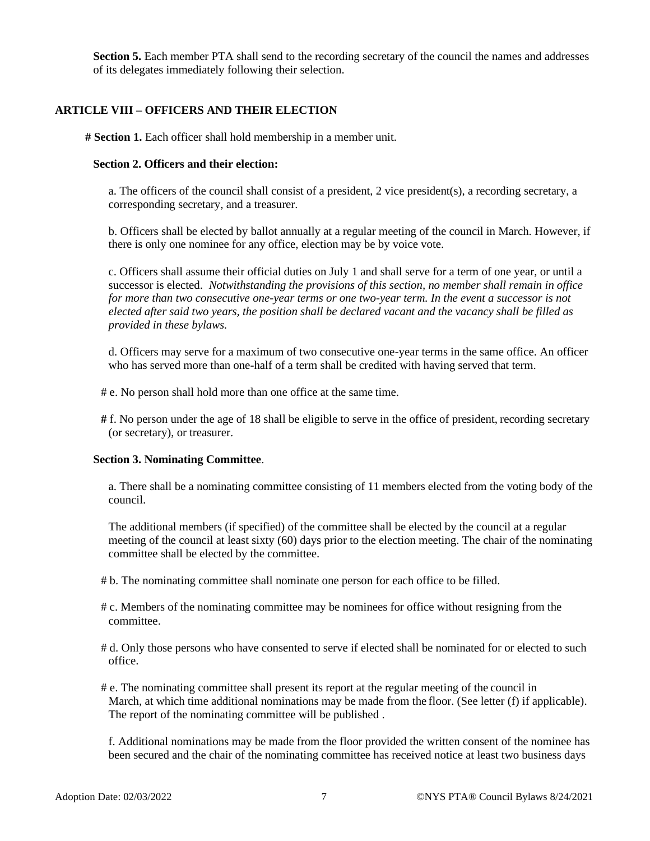**Section 5.** Each member PTA shall send to the recording secretary of the council the names and addresses of its delegates immediately following their selection.

### **ARTICLE VIII – OFFICERS AND THEIR ELECTION**

**# Section 1.** Each officer shall hold membership in a member unit.

### **Section 2. Officers and their election:**

a. The officers of the council shall consist of a president, 2 vice president(s), a recording secretary, a corresponding secretary, and a treasurer.

b. Officers shall be elected by ballot annually at a regular meeting of the council in March. However, if there is only one nominee for any office, election may be by voice vote.

c. Officers shall assume their official duties on July 1 and shall serve for a term of one year, or until a successor is elected. *Notwithstanding the provisions of this section, no member shall remain in office for more than two consecutive one-year terms or one two-year term. In the event a successor is not elected after said two years, the position shall be declared vacant and the vacancy shall be filled as provided in these bylaws.*

d. Officers may serve for a maximum of two consecutive one-year terms in the same office. An officer who has served more than one-half of a term shall be credited with having served that term.

- # e. No person shall hold more than one office at the same time.
- **#** f. No person under the age of 18 shall be eligible to serve in the office of president, recording secretary (or secretary), or treasurer.

#### **Section 3. Nominating Committee**.

a. There shall be a nominating committee consisting of 11 members elected from the voting body of the council.

The additional members (if specified) of the committee shall be elected by the council at a regular meeting of the council at least sixty (60) days prior to the election meeting. The chair of the nominating committee shall be elected by the committee.

- # b. The nominating committee shall nominate one person for each office to be filled.
- # c. Members of the nominating committee may be nominees for office without resigning from the committee.
- # d. Only those persons who have consented to serve if elected shall be nominated for or elected to such office.
- # e. The nominating committee shall present its report at the regular meeting of the council in March, at which time additional nominations may be made from the floor. (See letter (f) if applicable). The report of the nominating committee will be published .

f. Additional nominations may be made from the floor provided the written consent of the nominee has been secured and the chair of the nominating committee has received notice at least two business days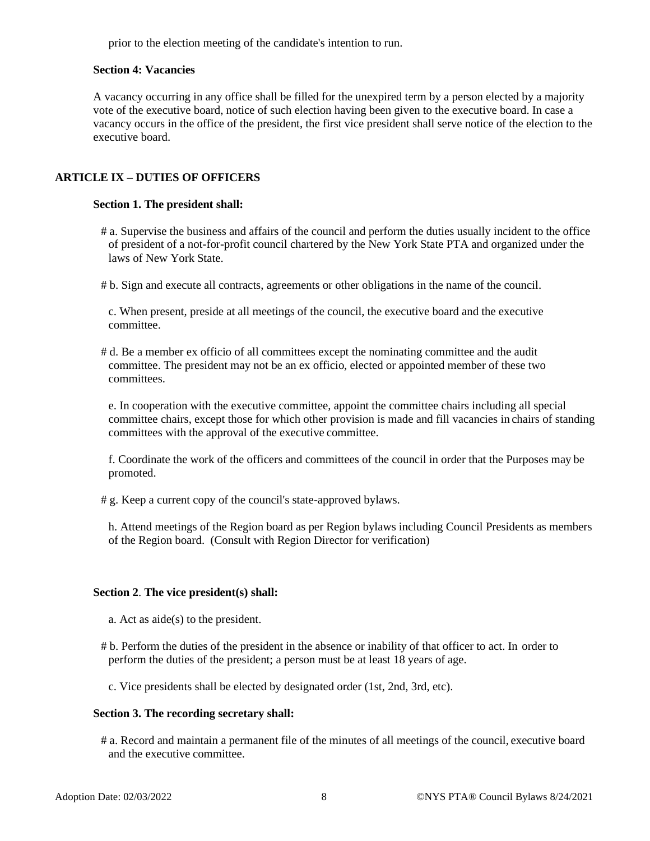prior to the election meeting of the candidate's intention to run.

#### **Section 4: Vacancies**

A vacancy occurring in any office shall be filled for the unexpired term by a person elected by a majority vote of the executive board, notice of such election having been given to the executive board. In case a vacancy occurs in the office of the president, the first vice president shall serve notice of the election to the executive board.

# **ARTICLE IX – DUTIES OF OFFICERS**

#### **Section 1. The president shall:**

# a. Supervise the business and affairs of the council and perform the duties usually incident to the office of president of a not-for-profit council chartered by the New York State PTA and organized under the laws of New York State.

# b. Sign and execute all contracts, agreements or other obligations in the name of the council.

c. When present, preside at all meetings of the council, the executive board and the executive committee.

# d. Be a member ex officio of all committees except the nominating committee and the audit committee. The president may not be an ex officio, elected or appointed member of these two committees.

e. In cooperation with the executive committee, appoint the committee chairs including all special committee chairs, except those for which other provision is made and fill vacancies in chairs of standing committees with the approval of the executive committee.

f. Coordinate the work of the officers and committees of the council in order that the Purposes may be promoted.

# g. Keep a current copy of the council's state-approved bylaws.

h. Attend meetings of the Region board as per Region bylaws including Council Presidents as members of the Region board. (Consult with Region Director for verification)

### **Section 2**. **The vice president(s) shall:**

- a. Act as aide(s) to the president.
- # b. Perform the duties of the president in the absence or inability of that officer to act. In order to perform the duties of the president; a person must be at least 18 years of age.

c. Vice presidents shall be elected by designated order (1st, 2nd, 3rd, etc).

#### **Section 3. The recording secretary shall:**

# a. Record and maintain a permanent file of the minutes of all meetings of the council, executive board and the executive committee.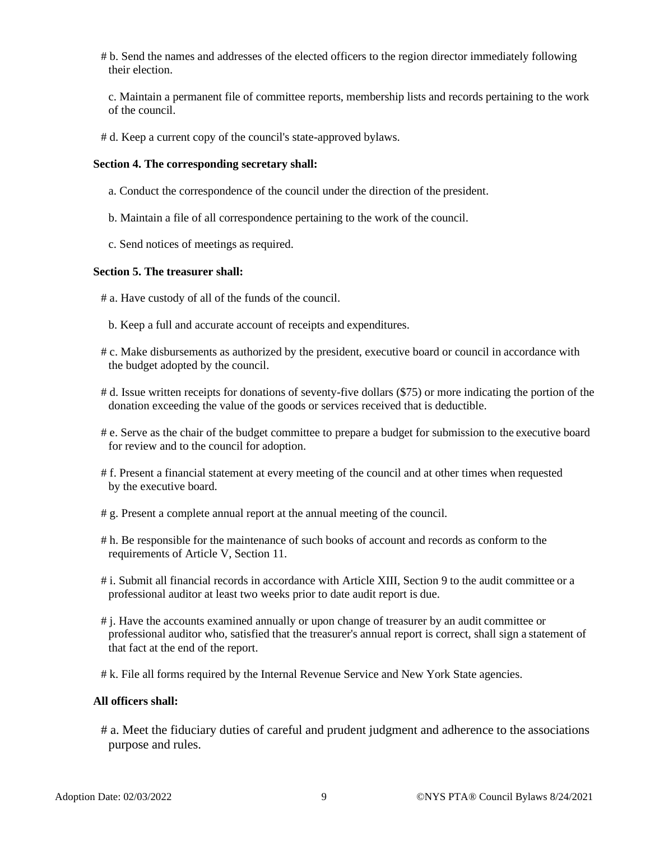# b. Send the names and addresses of the elected officers to the region director immediately following their election.

c. Maintain a permanent file of committee reports, membership lists and records pertaining to the work of the council.

# d. Keep a current copy of the council's state-approved bylaws.

### **Section 4. The corresponding secretary shall:**

- a. Conduct the correspondence of the council under the direction of the president.
- b. Maintain a file of all correspondence pertaining to the work of the council.
- c. Send notices of meetings as required.

#### **Section 5. The treasurer shall:**

- # a. Have custody of all of the funds of the council.
	- b. Keep a full and accurate account of receipts and expenditures.
- # c. Make disbursements as authorized by the president, executive board or council in accordance with the budget adopted by the council.
- # d. Issue written receipts for donations of seventy-five dollars (\$75) or more indicating the portion of the donation exceeding the value of the goods or services received that is deductible.
- # e. Serve as the chair of the budget committee to prepare a budget for submission to the executive board for review and to the council for adoption.
- # f. Present a financial statement at every meeting of the council and at other times when requested by the executive board.
- # g. Present a complete annual report at the annual meeting of the council.
- # h. Be responsible for the maintenance of such books of account and records as conform to the requirements of Article V, Section 11.
- # i. Submit all financial records in accordance with Article XIII, Section 9 to the audit committee or a professional auditor at least two weeks prior to date audit report is due.
- # j. Have the accounts examined annually or upon change of treasurer by an audit committee or professional auditor who, satisfied that the treasurer's annual report is correct, shall sign a statement of that fact at the end of the report.
- # k. File all forms required by the Internal Revenue Service and New York State agencies.

#### **All officers shall:**

# a. Meet the fiduciary duties of careful and prudent judgment and adherence to the associations purpose and rules.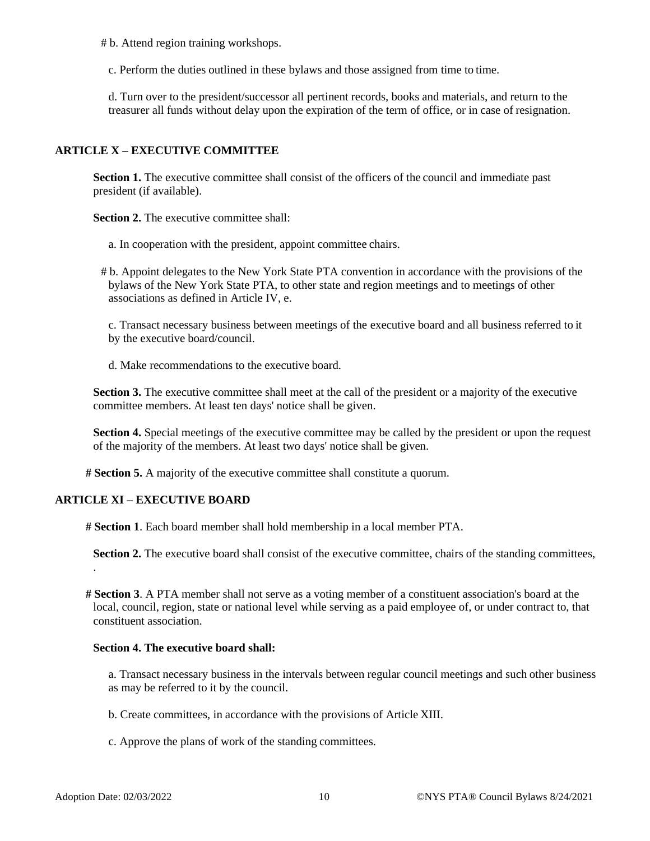# b. Attend region training workshops.

c. Perform the duties outlined in these bylaws and those assigned from time to time.

d. Turn over to the president/successor all pertinent records, books and materials, and return to the treasurer all funds without delay upon the expiration of the term of office, or in case of resignation.

# **ARTICLE X – EXECUTIVE COMMITTEE**

**Section 1.** The executive committee shall consist of the officers of the council and immediate past president (if available).

**Section 2.** The executive committee shall:

a. In cooperation with the president, appoint committee chairs.

# b. Appoint delegates to the New York State PTA convention in accordance with the provisions of the bylaws of the New York State PTA, to other state and region meetings and to meetings of other associations as defined in Article IV, e.

c. Transact necessary business between meetings of the executive board and all business referred to it by the executive board/council.

d. Make recommendations to the executive board.

**Section 3.** The executive committee shall meet at the call of the president or a majority of the executive committee members. At least ten days' notice shall be given.

Section 4. Special meetings of the executive committee may be called by the president or upon the request of the majority of the members. At least two days' notice shall be given.

**# Section 5.** A majority of the executive committee shall constitute a quorum.

# **ARTICLE XI – EXECUTIVE BOARD**

**# Section 1**. Each board member shall hold membership in a local member PTA.

**Section 2.** The executive board shall consist of the executive committee, chairs of the standing committees, .

**# Section 3**. A PTA member shall not serve as a voting member of a constituent association's board at the local, council, region, state or national level while serving as a paid employee of, or under contract to, that constituent association.

#### **Section 4. The executive board shall:**

a. Transact necessary business in the intervals between regular council meetings and such other business as may be referred to it by the council.

- b. Create committees, in accordance with the provisions of Article XIII.
- c. Approve the plans of work of the standing committees.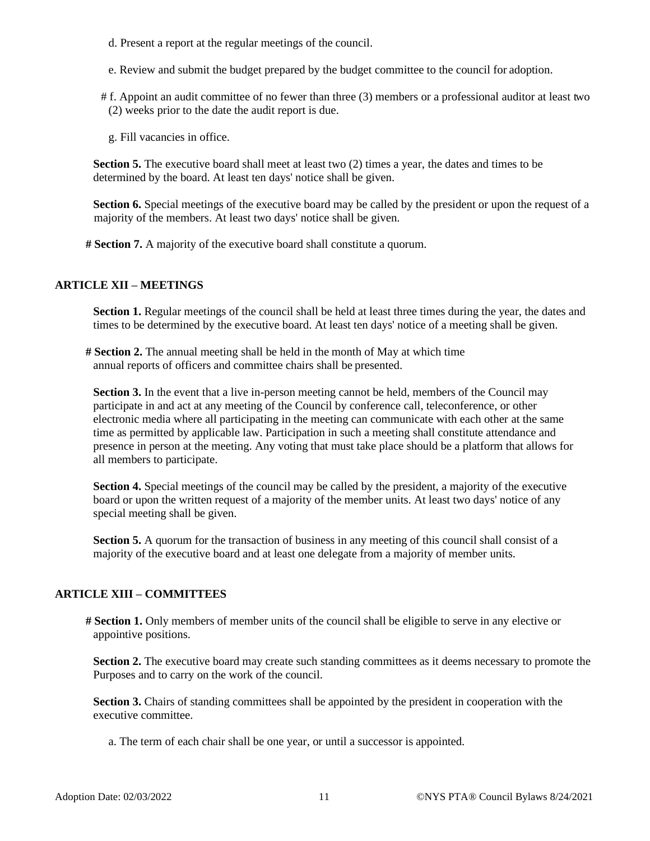- d. Present a report at the regular meetings of the council.
- e. Review and submit the budget prepared by the budget committee to the council for adoption.
- # f. Appoint an audit committee of no fewer than three (3) members or a professional auditor at least two (2) weeks prior to the date the audit report is due.
	- g. Fill vacancies in office.

**Section 5.** The executive board shall meet at least two (2) times a year, the dates and times to be determined by the board. At least ten days' notice shall be given.

**Section 6.** Special meetings of the executive board may be called by the president or upon the request of a majority of the members. At least two days' notice shall be given.

**# Section 7.** A majority of the executive board shall constitute a quorum.

# **ARTICLE XII – MEETINGS**

**Section 1.** Regular meetings of the council shall be held at least three times during the year, the dates and times to be determined by the executive board. At least ten days' notice of a meeting shall be given.

**# Section 2.** The annual meeting shall be held in the month of May at which time annual reports of officers and committee chairs shall be presented.

**Section 3.** In the event that a live in-person meeting cannot be held, members of the Council may participate in and act at any meeting of the Council by conference call, teleconference, or other electronic media where all participating in the meeting can communicate with each other at the same time as permitted by applicable law. Participation in such a meeting shall constitute attendance and presence in person at the meeting. Any voting that must take place should be a platform that allows for all members to participate.

**Section 4.** Special meetings of the council may be called by the president, a majority of the executive board or upon the written request of a majority of the member units. At least two days' notice of any special meeting shall be given.

**Section 5.** A quorum for the transaction of business in any meeting of this council shall consist of a majority of the executive board and at least one delegate from a majority of member units.

# **ARTICLE XIII – COMMITTEES**

**# Section 1.** Only members of member units of the council shall be eligible to serve in any elective or appointive positions.

**Section 2.** The executive board may create such standing committees as it deems necessary to promote the Purposes and to carry on the work of the council.

**Section 3.** Chairs of standing committees shall be appointed by the president in cooperation with the executive committee.

a. The term of each chair shall be one year, or until a successor is appointed.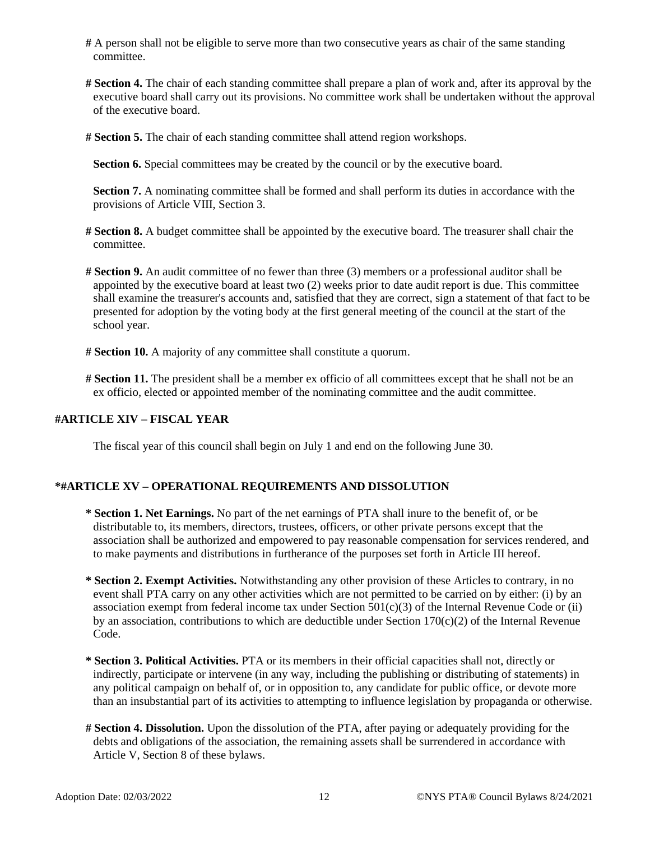- **#** A person shall not be eligible to serve more than two consecutive years as chair of the same standing committee.
- **# Section 4.** The chair of each standing committee shall prepare a plan of work and, after its approval by the executive board shall carry out its provisions. No committee work shall be undertaken without the approval of the executive board.
- **# Section 5.** The chair of each standing committee shall attend region workshops.

**Section 6.** Special committees may be created by the council or by the executive board.

**Section 7.** A nominating committee shall be formed and shall perform its duties in accordance with the provisions of Article VIII, Section 3.

- **# Section 8.** A budget committee shall be appointed by the executive board. The treasurer shall chair the committee.
- **# Section 9.** An audit committee of no fewer than three (3) members or a professional auditor shall be appointed by the executive board at least two (2) weeks prior to date audit report is due. This committee shall examine the treasurer's accounts and, satisfied that they are correct, sign a statement of that fact to be presented for adoption by the voting body at the first general meeting of the council at the start of the school year.
- **# Section 10.** A majority of any committee shall constitute a quorum.
- **# Section 11.** The president shall be a member ex officio of all committees except that he shall not be an ex officio, elected or appointed member of the nominating committee and the audit committee.

## **#ARTICLE XIV – FISCAL YEAR**

The fiscal year of this council shall begin on July 1 and end on the following June 30.

## **\*#ARTICLE XV – OPERATIONAL REQUIREMENTS AND DISSOLUTION**

- **\* Section 1. Net Earnings.** No part of the net earnings of PTA shall inure to the benefit of, or be distributable to, its members, directors, trustees, officers, or other private persons except that the association shall be authorized and empowered to pay reasonable compensation for services rendered, and to make payments and distributions in furtherance of the purposes set forth in Article III hereof.
- **\* Section 2. Exempt Activities.** Notwithstanding any other provision of these Articles to contrary, in no event shall PTA carry on any other activities which are not permitted to be carried on by either: (i) by an association exempt from federal income tax under Section  $501(c)(3)$  of the Internal Revenue Code or (ii) by an association, contributions to which are deductible under Section  $170(c)(2)$  of the Internal Revenue Code.
- **\* Section 3. Political Activities.** PTA or its members in their official capacities shall not, directly or indirectly, participate or intervene (in any way, including the publishing or distributing of statements) in any political campaign on behalf of, or in opposition to, any candidate for public office, or devote more than an insubstantial part of its activities to attempting to influence legislation by propaganda or otherwise.
- **# Section 4. Dissolution.** Upon the dissolution of the PTA, after paying or adequately providing for the debts and obligations of the association, the remaining assets shall be surrendered in accordance with Article V, Section 8 of these bylaws.